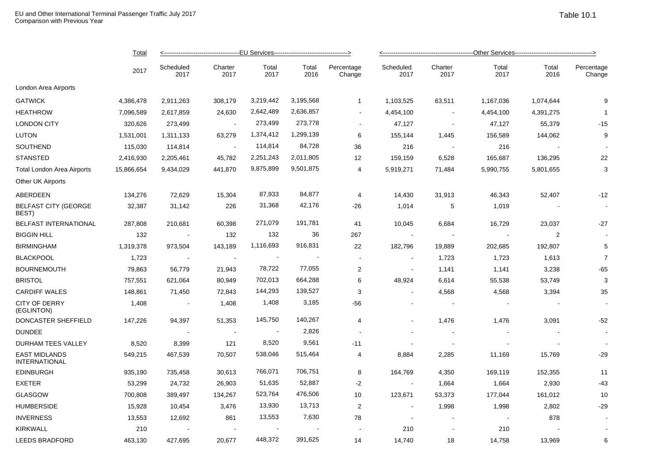|        | senger Traffic July 2017 |                 |                                             |               |                      | Table 10.1        |                          |               |               |                      |  |  |
|--------|--------------------------|-----------------|---------------------------------------------|---------------|----------------------|-------------------|--------------------------|---------------|---------------|----------------------|--|--|
| Total  |                          |                 | -EU Services------------------------------- |               |                      |                   |                          |               |               |                      |  |  |
| 2017   | Scheduled<br>2017        | Charter<br>2017 | Total<br>2017                               | Total<br>2016 | Percentage<br>Change | Scheduled<br>2017 | Charter<br>2017          | Total<br>2017 | Total<br>2016 | Percentage<br>Change |  |  |
| 86,478 | 2,911,263                | 308,179         | 3,219,442                                   | 3,195,568     |                      | 1,103,525         | 63,511                   | 1,167,036     | 1,074,644     | 9                    |  |  |
| 6,589  | 2,617,859                | 24,630          | 2,642,489                                   | 2,636,857     | $\sim$               | 4,454,100         | $\overline{\phantom{a}}$ | 4,454,100     | 4,391,275     |                      |  |  |
| 20,626 | 273,499                  | $\sim$          | 273,499                                     | 273,778       | $\blacksquare$       | 47,127            | $\overline{\phantom{a}}$ | 47,127        | 55,379        | $-15$                |  |  |
| 1,001  | 1,311,133                | 63,279          | 1,374,412                                   | 1,299,139     | 6                    | 155,144           | 1,445                    | 156,589       | 144,062       | 9                    |  |  |

| London Area Airports                         |            |           |                          |                |                |                          |                          |                          |           |                          |                |
|----------------------------------------------|------------|-----------|--------------------------|----------------|----------------|--------------------------|--------------------------|--------------------------|-----------|--------------------------|----------------|
| <b>GATWICK</b>                               | 4,386,478  | 2,911,263 | 308,179                  | 3,219,442      | 3,195,568      | $\mathbf{1}$             | 1,103,525                | 63,511                   | 1,167,036 | 1,074,644                | 9              |
| <b>HEATHROW</b>                              | 7,096,589  | 2,617,859 | 24,630                   | 2,642,489      | 2,636,857      | $\blacksquare$           | 4,454,100                | $\overline{\phantom{a}}$ | 4,454,100 | 4,391,275                | $\overline{1}$ |
| <b>LONDON CITY</b>                           | 320,626    | 273,499   | $\overline{\phantom{a}}$ | 273,499        | 273,778        | $\blacksquare$           | 47,127                   | $\sim$                   | 47,127    | 55,379                   | $-15$          |
| <b>LUTON</b>                                 | 1,531,001  | 1,311,133 | 63,279                   | 1,374,412      | 1,299,139      | 6                        | 155,144                  | 1,445                    | 156,589   | 144,062                  | 9              |
| SOUTHEND                                     | 115,030    | 114,814   | <b>.</b>                 | 114,814        | 84,728         | 36                       | 216                      | <b>.</b>                 | 216       | $\overline{\phantom{a}}$ |                |
| <b>STANSTED</b>                              | 2,416,930  | 2,205,461 | 45,782                   | 2,251,243      | 2,011,805      | 12                       | 159,159                  | 6,528                    | 165,687   | 136,295                  | 22             |
| <b>Total London Area Airports</b>            | 15,866,654 | 9,434,029 | 441,870                  | 9,875,899      | 9,501,875      | 4                        | 5,919,271                | 71,484                   | 5,990,755 | 5,801,655                | 3              |
| Other UK Airports                            |            |           |                          |                |                |                          |                          |                          |           |                          |                |
| ABERDEEN                                     | 134,276    | 72,629    | 15,304                   | 87,933         | 84,877         | 4                        | 14,430                   | 31,913                   | 46,343    | 52,407                   | $-12$          |
| <b>BELFAST CITY (GEORGE</b><br>BEST)         | 32,387     | 31,142    | 226                      | 31,368         | 42,176         | -26                      | 1,014                    | 5                        | 1,019     |                          |                |
| <b>BELFAST INTERNATIONAL</b>                 | 287,808    | 210,681   | 60,398                   | 271,079        | 191,781        | 41                       | 10,045                   | 6,684                    | 16,729    | 23,037                   | $-27$          |
| <b>BIGGIN HILL</b>                           | 132        |           | 132                      | 132            | 36             | 267                      |                          |                          |           | 2                        |                |
| <b>BIRMINGHAM</b>                            | 1,319,378  | 973,504   | 143,189                  | 1,116,693      | 916,831        | 22                       | 182,796                  | 19,889                   | 202,685   | 192,807                  | 5              |
| <b>BLACKPOOL</b>                             | 1,723      | $\sim$    | $\sim$                   | $\sim$         | $\blacksquare$ | $\blacksquare$           | $\sim$                   | 1,723                    | 1,723     | 1,613                    | $\overline{7}$ |
| <b>BOURNEMOUTH</b>                           | 79,863     | 56,779    | 21,943                   | 78,722         | 77,055         | $\overline{2}$           |                          | 1,141                    | 1,141     | 3,238                    | $-65$          |
| <b>BRISTOL</b>                               | 757,551    | 621,064   | 80,949                   | 702,013        | 664,288        | 6                        | 48,924                   | 6,614                    | 55,538    | 53,749                   | 3              |
| <b>CARDIFF WALES</b>                         | 148,861    | 71,450    | 72,843                   | 144,293        | 139,527        | 3                        | $\sim$                   | 4,568                    | 4,568     | 3,394                    | 35             |
| <b>CITY OF DERRY</b><br>(EGLINTON)           | 1,408      |           | 1,408                    | 1,408          | 3,185          | -56                      |                          | $\sim$                   |           |                          |                |
| DONCASTER SHEFFIELD                          | 147,226    | 94,397    | 51,353                   | 145,750        | 140,267        | 4                        |                          | 1,476                    | 1,476     | 3,091                    | $-52$          |
| <b>DUNDEE</b>                                |            |           | $\sim$                   | $\sim$         | 2,826          | $\overline{\phantom{a}}$ |                          | $\overline{\phantom{a}}$ |           |                          |                |
| <b>DURHAM TEES VALLEY</b>                    | 8,520      | 8,399     | 121                      | 8,520          | 9,561          | -11                      |                          | $\overline{\phantom{a}}$ |           |                          |                |
| <b>EAST MIDLANDS</b><br><b>INTERNATIONAL</b> | 549,215    | 467,539   | 70,507                   | 538,046        | 515,464        | 4                        | 8,884                    | 2,285                    | 11,169    | 15,769                   | $-29$          |
| <b>EDINBURGH</b>                             | 935,190    | 735,458   | 30,613                   | 766,071        | 706,751        | 8                        | 164,769                  | 4,350                    | 169,119   | 152,355                  | 11             |
| <b>EXETER</b>                                | 53,299     | 24,732    | 26,903                   | 51,635         | 52,887         | $-2$                     | $\blacksquare$           | 1,664                    | 1,664     | 2,930                    | $-43$          |
| <b>GLASGOW</b>                               | 700,808    | 389,497   | 134,267                  | 523,764        | 476,506        | 10                       | 123,671                  | 53,373                   | 177,044   | 161,012                  | 10             |
| <b>HUMBERSIDE</b>                            | 15,928     | 10,454    | 3,476                    | 13,930         | 13,713         | $\overline{2}$           | $\sim$                   | 1,998                    | 1,998     | 2,802                    | $-29$          |
| <b>INVERNESS</b>                             | 13,553     | 12,692    | 861                      | 13,553         | 7,630          | 78                       | $\overline{\phantom{a}}$ | $\blacksquare$           |           | 878                      |                |
| <b>KIRKWALL</b>                              | 210        |           | $\sim$                   | $\blacksquare$ | $\blacksquare$ | $\blacksquare$           | 210                      | $\sim$                   | 210       |                          |                |
| <b>LEEDS BRADFORD</b>                        | 463,130    | 427,695   | 20,677                   | 448,372        | 391,625        | 14                       | 14,740                   | 18                       | 14,758    | 13,969                   | 6              |